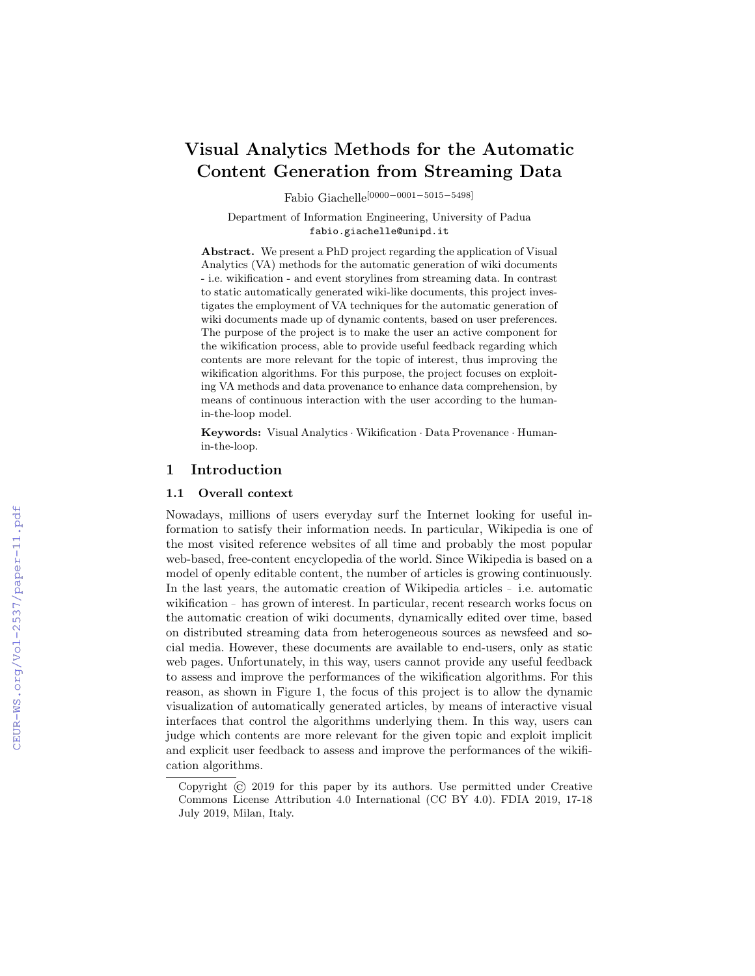# Visual Analytics Methods for the Automatic Content Generation from Streaming Data

Fabio Giachelle[0000−0001−5015−5498]

Department of Information Engineering, University of Padua fabio.giachelle@unipd.it

Abstract. We present a PhD project regarding the application of Visual Analytics (VA) methods for the automatic generation of wiki documents - i.e. wikification - and event storylines from streaming data. In contrast to static automatically generated wiki-like documents, this project investigates the employment of VA techniques for the automatic generation of wiki documents made up of dynamic contents, based on user preferences. The purpose of the project is to make the user an active component for the wikification process, able to provide useful feedback regarding which contents are more relevant for the topic of interest, thus improving the wikification algorithms. For this purpose, the project focuses on exploiting VA methods and data provenance to enhance data comprehension, by means of continuous interaction with the user according to the humanin-the-loop model.

Keywords: Visual Analytics · Wikification · Data Provenance · Humanin-the-loop.

# 1 Introduction

### 1.1 Overall context

Nowadays, millions of users everyday surf the Internet looking for useful information to satisfy their information needs. In particular, Wikipedia is one of the most visited reference websites of all time and probably the most popular web-based, free-content encyclopedia of the world. Since Wikipedia is based on a model of openly editable content, the number of articles is growing continuously. In the last years, the automatic creation of Wikipedia articles <sup>−</sup> i.e. automatic wikification <sup>−</sup> has grown of interest. In particular, recent research works focus on the automatic creation of wiki documents, dynamically edited over time, based on distributed streaming data from heterogeneous sources as newsfeed and social media. However, these documents are available to end-users, only as static web pages. Unfortunately, in this way, users cannot provide any useful feedback to assess and improve the performances of the wikification algorithms. For this reason, as shown in Figure [1,](#page--1-0) the focus of this project is to allow the dynamic visualization of automatically generated articles, by means of interactive visual interfaces that control the algorithms underlying them. In this way, users can judge which contents are more relevant for the given topic and exploit implicit and explicit user feedback to assess and improve the performances of the wikification algorithms.

Copyright © 2019 for this paper by its authors. Use permitted under Creative Commons License Attribution 4.0 International (CC BY 4.0). FDIA 2019, 17-18 July 2019, Milan, Italy.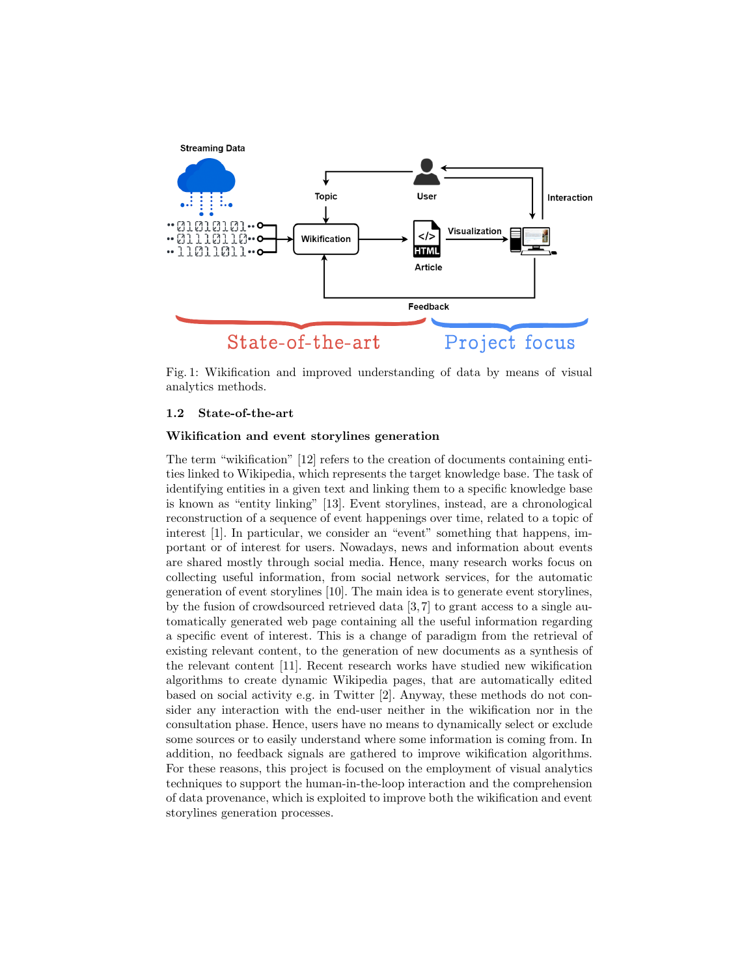<span id="page-1-0"></span>

Fig. 1: Wikification and improved understanding of data by means of visual analytics methods.

# 1.2 State-of-the-art

### Wikification and event storylines generation

The term "wikification" [\[12\]](#page-5-0) refers to the creation of documents containing entities linked to Wikipedia, which represents the target knowledge base. The task of identifying entities in a given text and linking them to a specific knowledge base is known as "entity linking" [\[13\]](#page-5-1). Event storylines, instead, are a chronological reconstruction of a sequence of event happenings over time, related to a topic of interest [\[1\]](#page-5-2). In particular, we consider an "event" something that happens, important or of interest for users. Nowadays, news and information about events are shared mostly through social media. Hence, many research works focus on collecting useful information, from social network services, for the automatic generation of event storylines [\[10\]](#page-5-3). The main idea is to generate event storylines, by the fusion of crowdsourced retrieved data [\[3,](#page-5-4) [7\]](#page-5-5) to grant access to a single automatically generated web page containing all the useful information regarding a specific event of interest. This is a change of paradigm from the retrieval of existing relevant content, to the generation of new documents as a synthesis of the relevant content [\[11\]](#page-5-6). Recent research works have studied new wikification algorithms to create dynamic Wikipedia pages, that are automatically edited based on social activity e.g. in Twitter [\[2\]](#page-5-7). Anyway, these methods do not consider any interaction with the end-user neither in the wikification nor in the consultation phase. Hence, users have no means to dynamically select or exclude some sources or to easily understand where some information is coming from. In addition, no feedback signals are gathered to improve wikification algorithms. For these reasons, this project is focused on the employment of visual analytics techniques to support the human-in-the-loop interaction and the comprehension of data provenance, which is exploited to improve both the wikification and event storylines generation processes.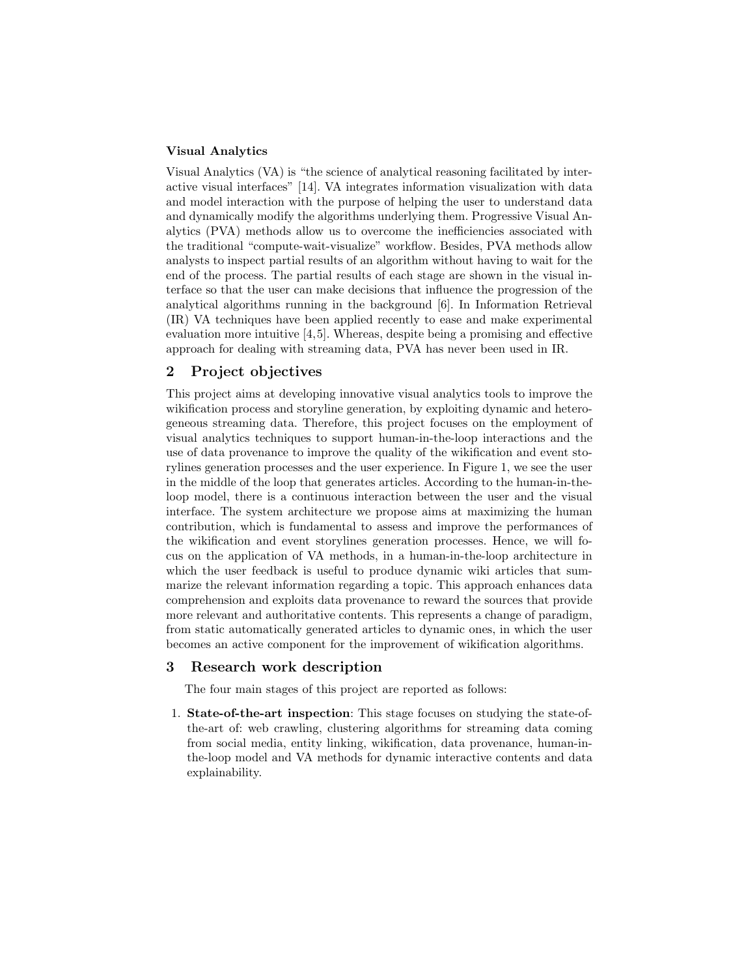### Visual Analytics

Visual Analytics (VA) is "the science of analytical reasoning facilitated by interactive visual interfaces" [\[14\]](#page-5-8). VA integrates information visualization with data and model interaction with the purpose of helping the user to understand data and dynamically modify the algorithms underlying them. Progressive Visual Analytics (PVA) methods allow us to overcome the inefficiencies associated with the traditional "compute-wait-visualize" workflow. Besides, PVA methods allow analysts to inspect partial results of an algorithm without having to wait for the end of the process. The partial results of each stage are shown in the visual interface so that the user can make decisions that influence the progression of the analytical algorithms running in the background [\[6\]](#page-5-9). In Information Retrieval (IR) VA techniques have been applied recently to ease and make experimental evaluation more intuitive [\[4,](#page-5-10)[5\]](#page-5-11). Whereas, despite being a promising and effective approach for dealing with streaming data, PVA has never been used in IR.

# 2 Project objectives

This project aims at developing innovative visual analytics tools to improve the wikification process and storyline generation, by exploiting dynamic and heterogeneous streaming data. Therefore, this project focuses on the employment of visual analytics techniques to support human-in-the-loop interactions and the use of data provenance to improve the quality of the wikification and event storylines generation processes and the user experience. In Figure [1,](#page-1-0) we see the user in the middle of the loop that generates articles. According to the human-in-theloop model, there is a continuous interaction between the user and the visual interface. The system architecture we propose aims at maximizing the human contribution, which is fundamental to assess and improve the performances of the wikification and event storylines generation processes. Hence, we will focus on the application of VA methods, in a human-in-the-loop architecture in which the user feedback is useful to produce dynamic wiki articles that summarize the relevant information regarding a topic. This approach enhances data comprehension and exploits data provenance to reward the sources that provide more relevant and authoritative contents. This represents a change of paradigm, from static automatically generated articles to dynamic ones, in which the user becomes an active component for the improvement of wikification algorithms.

# 3 Research work description

The four main stages of this project are reported as follows:

1. State-of-the-art inspection: This stage focuses on studying the state-ofthe-art of: web crawling, clustering algorithms for streaming data coming from social media, entity linking, wikification, data provenance, human-inthe-loop model and VA methods for dynamic interactive contents and data explainability.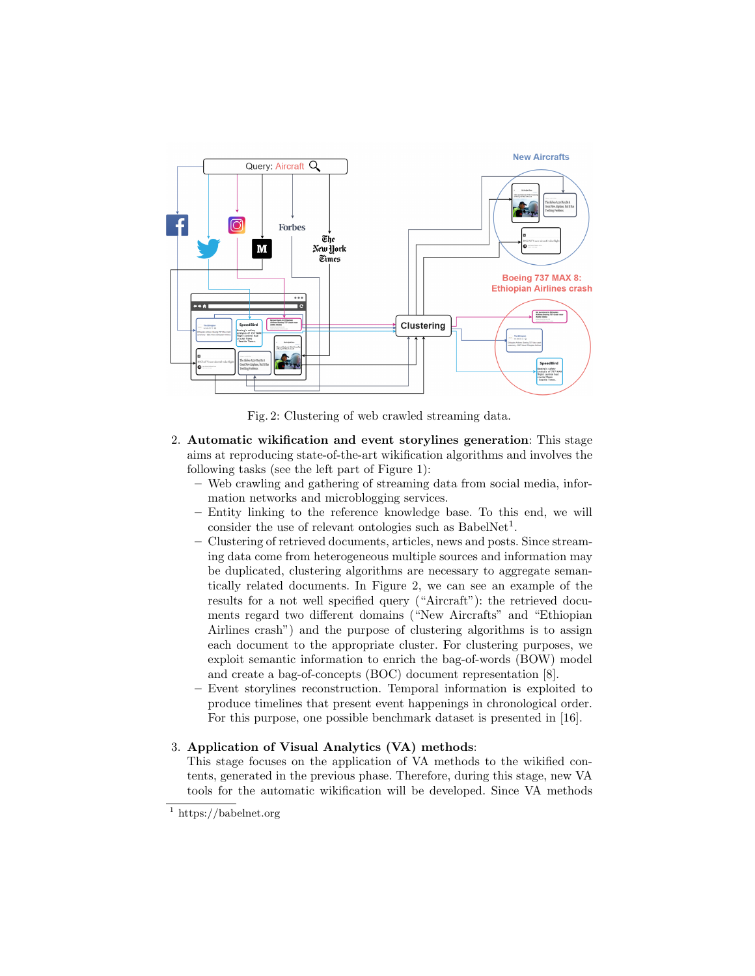<span id="page-3-1"></span>

Fig. 2: Clustering of web crawled streaming data.

- 2. Automatic wikification and event storylines generation: This stage aims at reproducing state-of-the-art wikification algorithms and involves the following tasks (see the left part of Figure [1\)](#page-1-0):
	- Web crawling and gathering of streaming data from social media, information networks and microblogging services.
	- Entity linking to the reference knowledge base. To this end, we will consider the use of relevant ontologies such as  $BabelNet<sup>1</sup>$  $BabelNet<sup>1</sup>$  $BabelNet<sup>1</sup>$ .
	- Clustering of retrieved documents, articles, news and posts. Since streaming data come from heterogeneous multiple sources and information may be duplicated, clustering algorithms are necessary to aggregate semantically related documents. In Figure [2,](#page-3-1) we can see an example of the results for a not well specified query ("Aircraft"): the retrieved documents regard two different domains ("New Aircrafts" and "Ethiopian Airlines crash") and the purpose of clustering algorithms is to assign each document to the appropriate cluster. For clustering purposes, we exploit semantic information to enrich the bag-of-words (BOW) model and create a bag-of-concepts (BOC) document representation [\[8\]](#page-5-12).
	- Event storylines reconstruction. Temporal information is exploited to produce timelines that present event happenings in chronological order. For this purpose, one possible benchmark dataset is presented in [\[16\]](#page-5-13).

# 3. Application of Visual Analytics (VA) methods:

This stage focuses on the application of VA methods to the wikified contents, generated in the previous phase. Therefore, during this stage, new VA tools for the automatic wikification will be developed. Since VA methods

<span id="page-3-0"></span> $\frac{1}{1}$ https://babelnet.org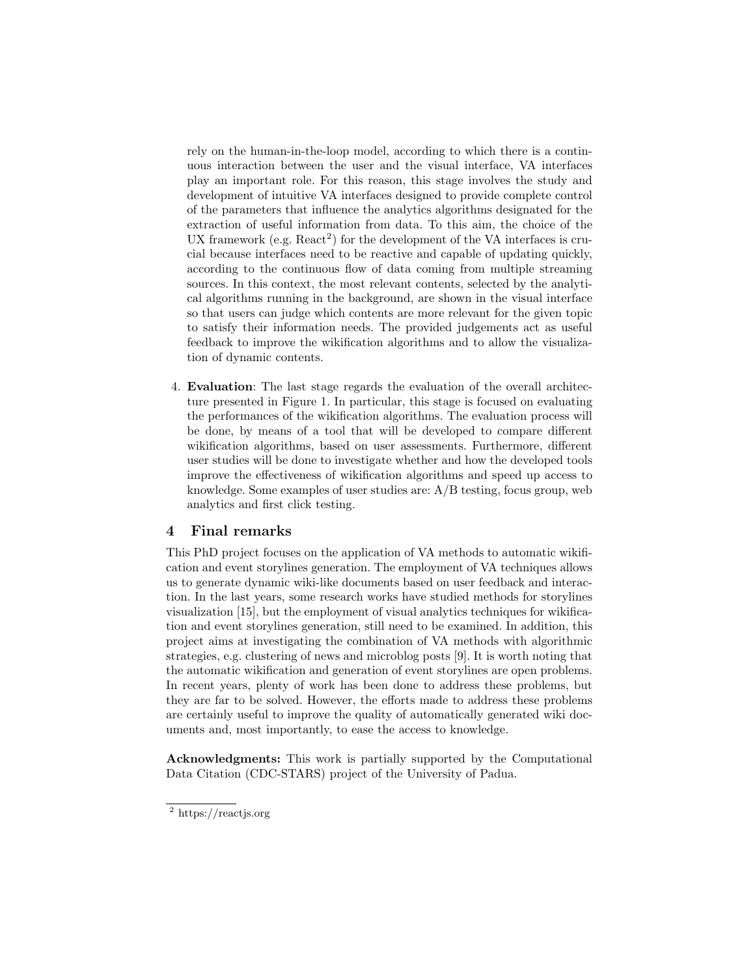rely on the human-in-the-loop model, according to which there is a continuous interaction between the user and the visual interface, VA interfaces play an important role. For this reason, this stage involves the study and development of intuitive VA interfaces designed to provide complete control of the parameters that influence the analytics algorithms designated for the extraction of useful information from data. To this aim, the choice of the UX framework (e.g.  $React^2$  $React^2$ ) for the development of the VA interfaces is crucial because interfaces need to be reactive and capable of updating quickly, according to the continuous flow of data coming from multiple streaming sources. In this context, the most relevant contents, selected by the analytical algorithms running in the background, are shown in the visual interface so that users can judge which contents are more relevant for the given topic to satisfy their information needs. The provided judgements act as useful feedback to improve the wikification algorithms and to allow the visualization of dynamic contents.

4. Evaluation: The last stage regards the evaluation of the overall architecture presented in Figure [1.](#page-1-0) In particular, this stage is focused on evaluating the performances of the wikification algorithms. The evaluation process will be done, by means of a tool that will be developed to compare different wikification algorithms, based on user assessments. Furthermore, different user studies will be done to investigate whether and how the developed tools improve the effectiveness of wikification algorithms and speed up access to knowledge. Some examples of user studies are:  $A/B$  testing, focus group, web analytics and first click testing.

# 4 Final remarks

This PhD project focuses on the application of VA methods to automatic wikification and event storylines generation. The employment of VA techniques allows us to generate dynamic wiki-like documents based on user feedback and interaction. In the last years, some research works have studied methods for storylines visualization [\[15\]](#page-5-14), but the employment of visual analytics techniques for wikification and event storylines generation, still need to be examined. In addition, this project aims at investigating the combination of VA methods with algorithmic strategies, e.g. clustering of news and microblog posts [\[9\]](#page-5-15). It is worth noting that the automatic wikification and generation of event storylines are open problems. In recent years, plenty of work has been done to address these problems, but they are far to be solved. However, the efforts made to address these problems are certainly useful to improve the quality of automatically generated wiki documents and, most importantly, to ease the access to knowledge.

Acknowledgments: This work is partially supported by the Computational Data Citation (CDC-STARS) project of the University of Padua.

<span id="page-4-0"></span><sup>2</sup> https://reactjs.org